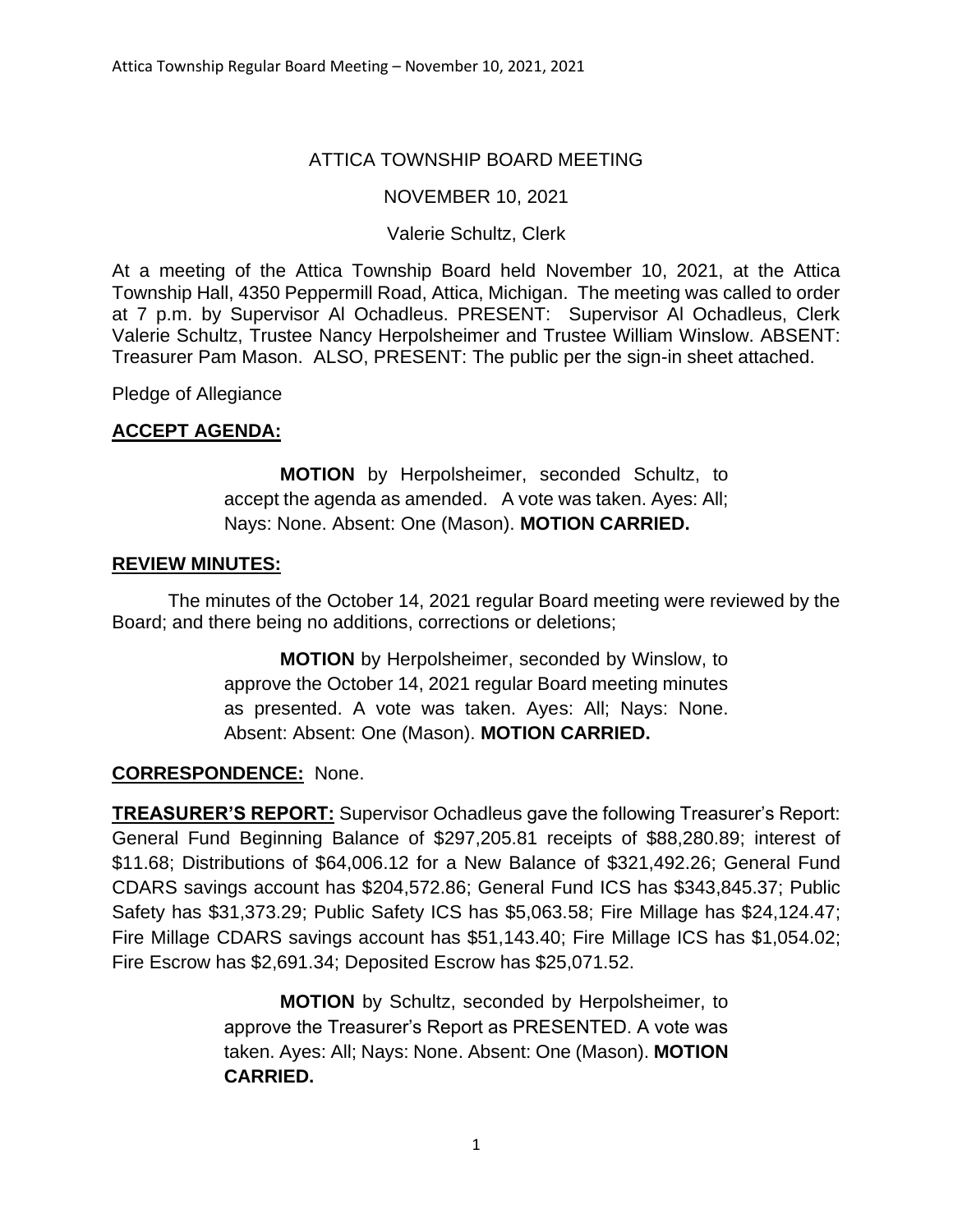## ATTICA TOWNSHIP BOARD MEETING

### NOVEMBER 10, 2021

#### Valerie Schultz, Clerk

At a meeting of the Attica Township Board held November 10, 2021, at the Attica Township Hall, 4350 Peppermill Road, Attica, Michigan. The meeting was called to order at 7 p.m. by Supervisor Al Ochadleus. PRESENT: Supervisor Al Ochadleus, Clerk Valerie Schultz, Trustee Nancy Herpolsheimer and Trustee William Winslow. ABSENT: Treasurer Pam Mason. ALSO, PRESENT: The public per the sign-in sheet attached.

Pledge of Allegiance

#### **ACCEPT AGENDA:**

**MOTION** by Herpolsheimer, seconded Schultz, to accept the agenda as amended. A vote was taken. Ayes: All; Nays: None. Absent: One (Mason). **MOTION CARRIED.**

#### **REVIEW MINUTES:**

The minutes of the October 14, 2021 regular Board meeting were reviewed by the Board; and there being no additions, corrections or deletions;

> **MOTION** by Herpolsheimer, seconded by Winslow, to approve the October 14, 2021 regular Board meeting minutes as presented. A vote was taken. Ayes: All; Nays: None. Absent: Absent: One (Mason). **MOTION CARRIED.**

#### **CORRESPONDENCE:** None.

**TREASURER'S REPORT:** Supervisor Ochadleus gave the following Treasurer's Report: General Fund Beginning Balance of \$297,205.81 receipts of \$88,280.89; interest of \$11.68; Distributions of \$64,006.12 for a New Balance of \$321,492.26; General Fund CDARS savings account has \$204,572.86; General Fund ICS has \$343,845.37; Public Safety has \$31,373.29; Public Safety ICS has \$5,063.58; Fire Millage has \$24,124.47; Fire Millage CDARS savings account has \$51,143.40; Fire Millage ICS has \$1,054.02; Fire Escrow has \$2,691.34; Deposited Escrow has \$25,071.52.

> **MOTION** by Schultz, seconded by Herpolsheimer, to approve the Treasurer's Report as PRESENTED. A vote was taken. Ayes: All; Nays: None. Absent: One (Mason). **MOTION CARRIED.**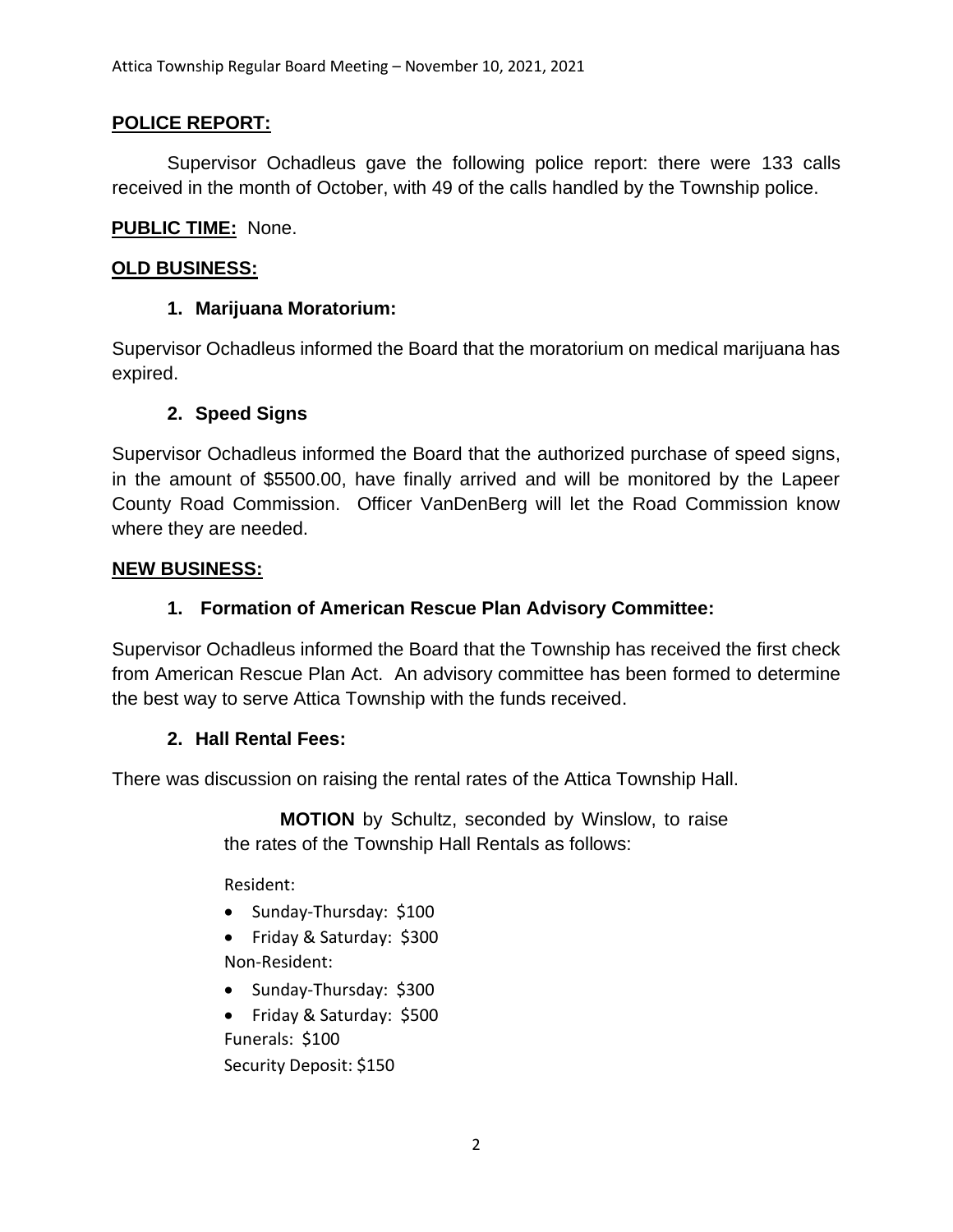## **POLICE REPORT:**

Supervisor Ochadleus gave the following police report: there were 133 calls received in the month of October, with 49 of the calls handled by the Township police.

#### **PUBLIC TIME:** None.

#### **OLD BUSINESS:**

## **1. Marijuana Moratorium:**

Supervisor Ochadleus informed the Board that the moratorium on medical marijuana has expired.

## **2. Speed Signs**

Supervisor Ochadleus informed the Board that the authorized purchase of speed signs, in the amount of \$5500.00, have finally arrived and will be monitored by the Lapeer County Road Commission. Officer VanDenBerg will let the Road Commission know where they are needed.

#### **NEW BUSINESS:**

# **1. Formation of American Rescue Plan Advisory Committee:**

Supervisor Ochadleus informed the Board that the Township has received the first check from American Rescue Plan Act. An advisory committee has been formed to determine the best way to serve Attica Township with the funds received.

## **2. Hall Rental Fees:**

There was discussion on raising the rental rates of the Attica Township Hall.

**MOTION** by Schultz, seconded by Winslow, to raise the rates of the Township Hall Rentals as follows:

Resident:

- Sunday-Thursday: \$100
- Friday & Saturday: \$300 Non-Resident:
- Sunday-Thursday: \$300
- Friday & Saturday: \$500 Funerals: \$100 Security Deposit: \$150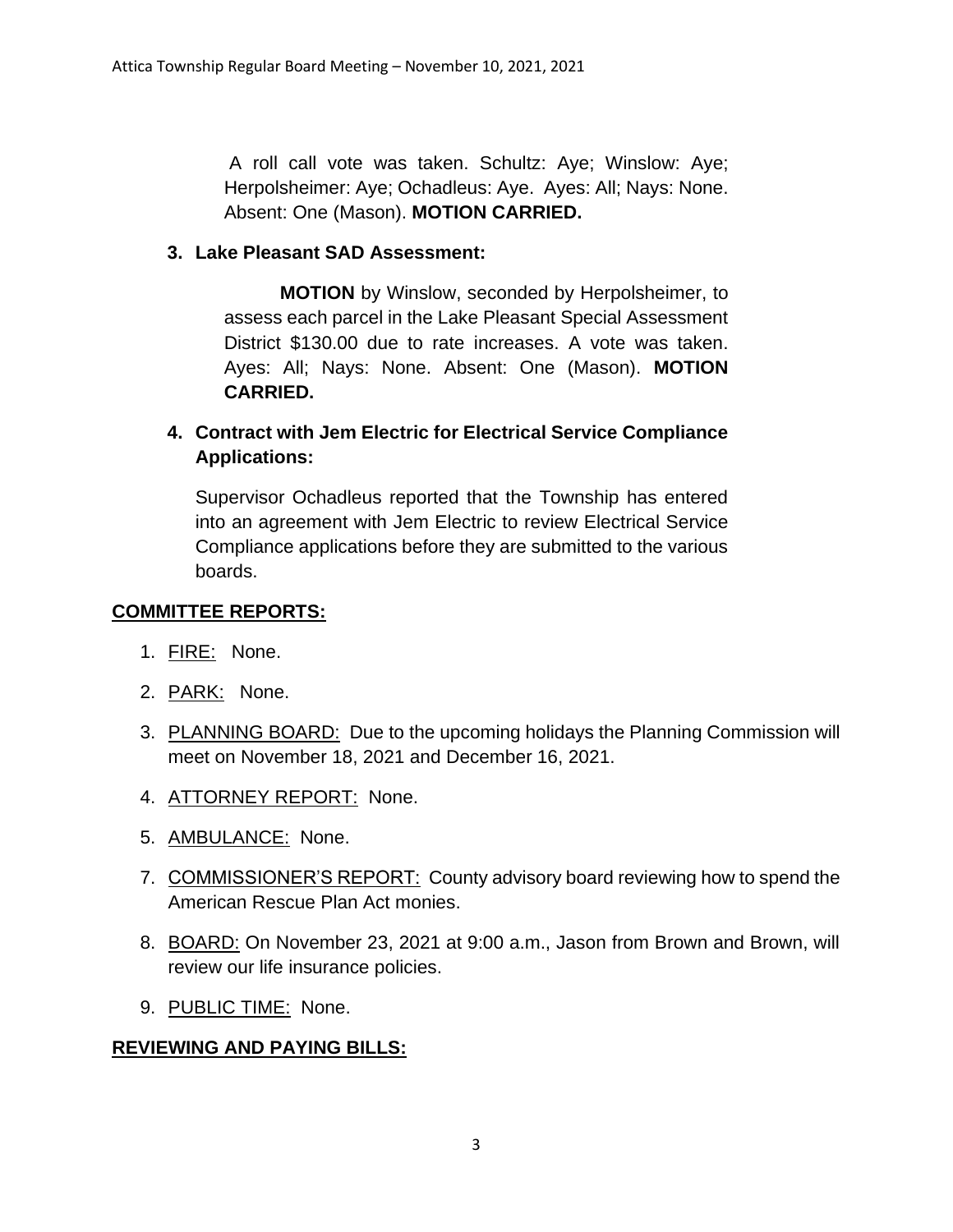A roll call vote was taken. Schultz: Aye; Winslow: Aye; Herpolsheimer: Aye; Ochadleus: Aye. Ayes: All; Nays: None. Absent: One (Mason). **MOTION CARRIED.**

## **3. Lake Pleasant SAD Assessment:**

**MOTION** by Winslow, seconded by Herpolsheimer, to assess each parcel in the Lake Pleasant Special Assessment District \$130.00 due to rate increases. A vote was taken. Ayes: All; Nays: None. Absent: One (Mason). **MOTION CARRIED.**

# **4. Contract with Jem Electric for Electrical Service Compliance Applications:**

Supervisor Ochadleus reported that the Township has entered into an agreement with Jem Electric to review Electrical Service Compliance applications before they are submitted to the various boards.

#### **COMMITTEE REPORTS:**

- 1. FIRE: None.
- 2. PARK: None.
- 3. PLANNING BOARD: Due to the upcoming holidays the Planning Commission will meet on November 18, 2021 and December 16, 2021.
- 4. ATTORNEY REPORT: None.
- 5. AMBULANCE: None.
- 7. COMMISSIONER'S REPORT: County advisory board reviewing how to spend the American Rescue Plan Act monies.
- 8. BOARD: On November 23, 2021 at 9:00 a.m., Jason from Brown and Brown, will review our life insurance policies.
- 9. PUBLIC TIME: None.

## **REVIEWING AND PAYING BILLS:**